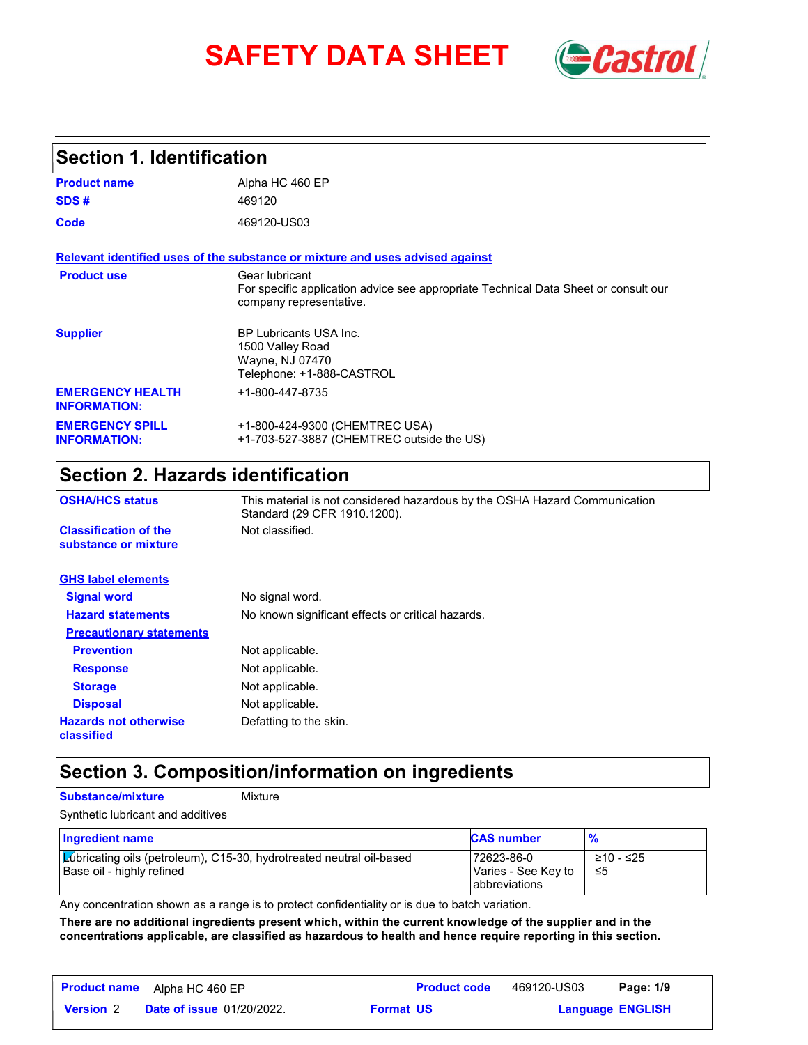# **SAFETY DATA SHEET** *Castrol*



### **Section 1. Identification**

| <b>Product name</b>                            | Alpha HC 460 EP                                                                                                                  |
|------------------------------------------------|----------------------------------------------------------------------------------------------------------------------------------|
| SDS#                                           | 469120                                                                                                                           |
| Code                                           | 469120-US03                                                                                                                      |
|                                                | Relevant identified uses of the substance or mixture and uses advised against                                                    |
| <b>Product use</b>                             | Gear Iubricant<br>For specific application advice see appropriate Technical Data Sheet or consult our<br>company representative. |
| <b>Supplier</b>                                | <b>BP Lubricants USA Inc.</b><br>1500 Valley Road<br>Wayne, NJ 07470<br>Telephone: +1-888-CASTROL                                |
| <b>EMERGENCY HEALTH</b><br><b>INFORMATION:</b> | +1-800-447-8735                                                                                                                  |
| <b>EMERGENCY SPILL</b><br><b>INFORMATION:</b>  | +1-800-424-9300 (CHEMTREC USA)<br>+1-703-527-3887 (CHEMTREC outside the US)                                                      |

## **Section 2. Hazards identification**

| <b>OSHA/HCS status</b>                               | This material is not considered hazardous by the OSHA Hazard Communication<br>Standard (29 CFR 1910.1200). |
|------------------------------------------------------|------------------------------------------------------------------------------------------------------------|
| <b>Classification of the</b><br>substance or mixture | Not classified.                                                                                            |
| <b>GHS label elements</b>                            |                                                                                                            |
| <b>Signal word</b>                                   | No signal word.                                                                                            |
| <b>Hazard statements</b>                             | No known significant effects or critical hazards.                                                          |
| <b>Precautionary statements</b>                      |                                                                                                            |
| <b>Prevention</b>                                    | Not applicable.                                                                                            |
| <b>Response</b>                                      | Not applicable.                                                                                            |
| <b>Storage</b>                                       | Not applicable.                                                                                            |
| <b>Disposal</b>                                      | Not applicable.                                                                                            |
| <b>Hazards not otherwise</b><br>classified           | Defatting to the skin.                                                                                     |

### **Section 3. Composition/information on ingredients**

#### **Substance/mixture** Mixture

| Synthetic lubricant and additives |  |
|-----------------------------------|--|
|-----------------------------------|--|

| Ingredient name                                                                                   | <b>CAS number</b>                                  |                  |
|---------------------------------------------------------------------------------------------------|----------------------------------------------------|------------------|
| Lubricating oils (petroleum), C15-30, hydrotreated neutral oil-based<br>Base oil - highly refined | 72623-86-0<br>Varies - See Key to<br>abbreviations | ≥10 - ≤25<br>-≤5 |

Any concentration shown as a range is to protect confidentiality or is due to batch variation.

**There are no additional ingredients present which, within the current knowledge of the supplier and in the concentrations applicable, are classified as hazardous to health and hence require reporting in this section.**

| <b>Product name</b> | Alpha HC 460 EP                  |                  | <b>Product code</b> | 469120-US03 | Page: 1/9               |  |
|---------------------|----------------------------------|------------------|---------------------|-------------|-------------------------|--|
| <b>Version 2</b>    | <b>Date of issue 01/20/2022.</b> | <b>Format US</b> |                     |             | <b>Language ENGLISH</b> |  |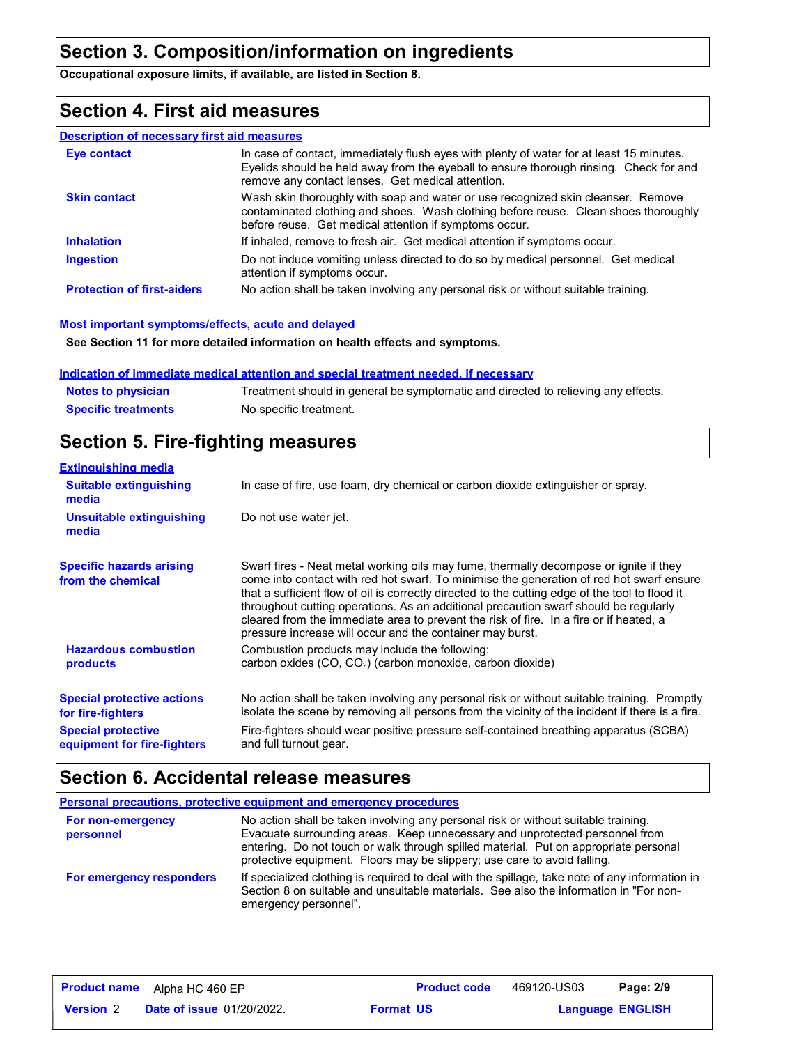### **Section 3. Composition/information on ingredients**

**Occupational exposure limits, if available, are listed in Section 8.**

### **Section 4. First aid measures**

#### **Description of necessary first aid measures**

| <b>Eve contact</b>                | In case of contact, immediately flush eyes with plenty of water for at least 15 minutes.<br>Eyelids should be held away from the eyeball to ensure thorough rinsing. Check for and<br>remove any contact lenses. Get medical attention. |
|-----------------------------------|-----------------------------------------------------------------------------------------------------------------------------------------------------------------------------------------------------------------------------------------|
| <b>Skin contact</b>               | Wash skin thoroughly with soap and water or use recognized skin cleanser. Remove<br>contaminated clothing and shoes. Wash clothing before reuse. Clean shoes thoroughly<br>before reuse. Get medical attention if symptoms occur.       |
| <b>Inhalation</b>                 | If inhaled, remove to fresh air. Get medical attention if symptoms occur.                                                                                                                                                               |
| <b>Ingestion</b>                  | Do not induce vomiting unless directed to do so by medical personnel. Get medical<br>attention if symptoms occur.                                                                                                                       |
| <b>Protection of first-aiders</b> | No action shall be taken involving any personal risk or without suitable training.                                                                                                                                                      |

#### **Most important symptoms/effects, acute and delayed**

**See Section 11 for more detailed information on health effects and symptoms.**

#### **Indication of immediate medical attention and special treatment needed, if necessary**

| <b>Notes to physician</b>  | Treatment should in general be symptomatic and directed to relieving any effects. |
|----------------------------|-----------------------------------------------------------------------------------|
| <b>Specific treatments</b> | No specific treatment.                                                            |

### **Section 5. Fire-fighting measures**

| <b>Extinguishing media</b>                               |                                                                                                                                                                                                                                                                                                                                                                                                                                                                                                                                     |
|----------------------------------------------------------|-------------------------------------------------------------------------------------------------------------------------------------------------------------------------------------------------------------------------------------------------------------------------------------------------------------------------------------------------------------------------------------------------------------------------------------------------------------------------------------------------------------------------------------|
| <b>Suitable extinguishing</b><br>media                   | In case of fire, use foam, dry chemical or carbon dioxide extinguisher or spray.                                                                                                                                                                                                                                                                                                                                                                                                                                                    |
| Unsuitable extinguishing<br>media                        | Do not use water jet.                                                                                                                                                                                                                                                                                                                                                                                                                                                                                                               |
| <b>Specific hazards arising</b><br>from the chemical     | Swarf fires - Neat metal working oils may fume, thermally decompose or ignite if they<br>come into contact with red hot swarf. To minimise the generation of red hot swarf ensure<br>that a sufficient flow of oil is correctly directed to the cutting edge of the tool to flood it<br>throughout cutting operations. As an additional precaution swarf should be regularly<br>cleared from the immediate area to prevent the risk of fire. In a fire or if heated, a<br>pressure increase will occur and the container may burst. |
| <b>Hazardous combustion</b><br>products                  | Combustion products may include the following:<br>carbon oxides (CO, CO <sub>2</sub> ) (carbon monoxide, carbon dioxide)                                                                                                                                                                                                                                                                                                                                                                                                            |
| <b>Special protective actions</b><br>for fire-fighters   | No action shall be taken involving any personal risk or without suitable training. Promptly<br>isolate the scene by removing all persons from the vicinity of the incident if there is a fire.                                                                                                                                                                                                                                                                                                                                      |
| <b>Special protective</b><br>equipment for fire-fighters | Fire-fighters should wear positive pressure self-contained breathing apparatus (SCBA)<br>and full turnout gear.                                                                                                                                                                                                                                                                                                                                                                                                                     |

### **Section 6. Accidental release measures**

|                                | <b>Personal precautions, protective equipment and emergency procedures</b>                                                                                                                                                                                                                                                            |
|--------------------------------|---------------------------------------------------------------------------------------------------------------------------------------------------------------------------------------------------------------------------------------------------------------------------------------------------------------------------------------|
| For non-emergency<br>personnel | No action shall be taken involving any personal risk or without suitable training.<br>Evacuate surrounding areas. Keep unnecessary and unprotected personnel from<br>entering. Do not touch or walk through spilled material. Put on appropriate personal<br>protective equipment. Floors may be slippery; use care to avoid falling. |
| For emergency responders       | If specialized clothing is required to deal with the spillage, take note of any information in<br>Section 8 on suitable and unsuitable materials. See also the information in "For non-<br>emergency personnel".                                                                                                                      |

| <b>Product name</b> | Alpha HC 460 EP                  |                  | <b>Product code</b> | 469120-US03 | Page: 2/9               |  |
|---------------------|----------------------------------|------------------|---------------------|-------------|-------------------------|--|
| <b>Version 2</b>    | <b>Date of issue 01/20/2022.</b> | <b>Format US</b> |                     |             | <b>Language ENGLISH</b> |  |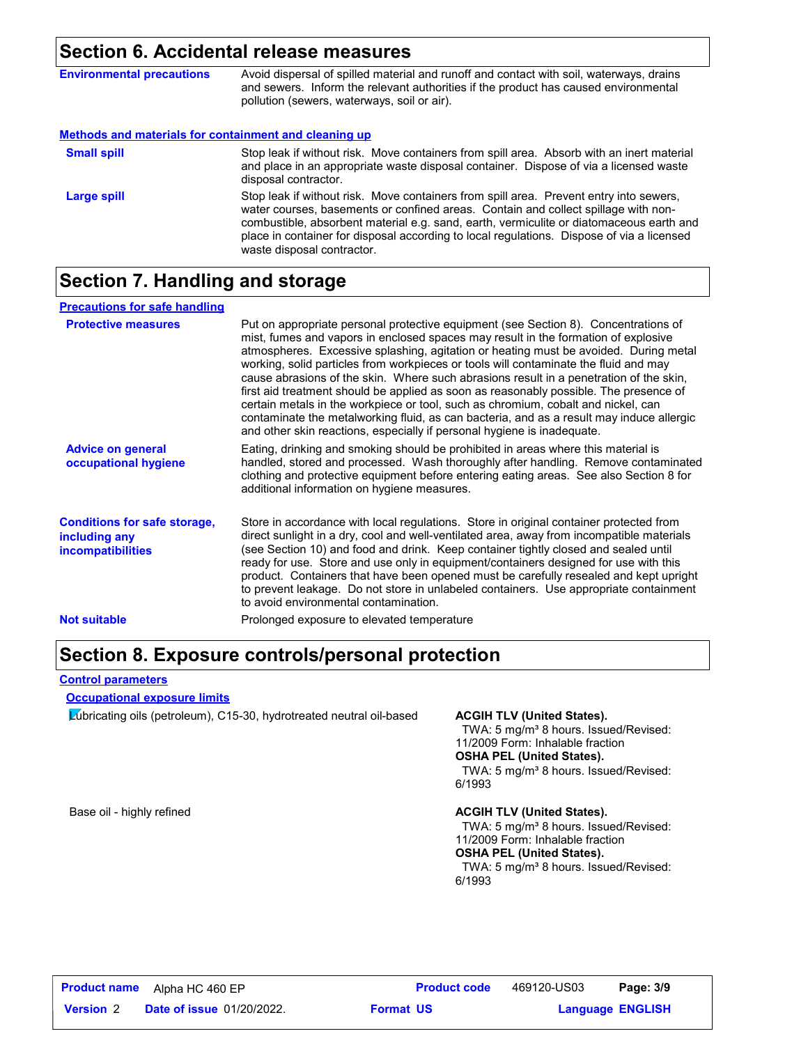### **Section 6. Accidental release measures**

| <b>Environmental precautions</b>                      | Avoid dispersal of spilled material and runoff and contact with soil, waterways, drains<br>and sewers. Inform the relevant authorities if the product has caused environmental<br>pollution (sewers, waterways, soil or air).                                                                                                                                                                      |
|-------------------------------------------------------|----------------------------------------------------------------------------------------------------------------------------------------------------------------------------------------------------------------------------------------------------------------------------------------------------------------------------------------------------------------------------------------------------|
| Methods and materials for containment and cleaning up |                                                                                                                                                                                                                                                                                                                                                                                                    |
| <b>Small spill</b>                                    | Stop leak if without risk. Move containers from spill area. Absorb with an inert material<br>and place in an appropriate waste disposal container. Dispose of via a licensed waste<br>disposal contractor.                                                                                                                                                                                         |
| Large spill                                           | Stop leak if without risk. Move containers from spill area. Prevent entry into sewers,<br>water courses, basements or confined areas. Contain and collect spillage with non-<br>combustible, absorbent material e.g. sand, earth, vermiculite or diatomaceous earth and<br>place in container for disposal according to local regulations. Dispose of via a licensed<br>waste disposal contractor. |

## **Section 7. Handling and storage**

| <b>Precautions for safe handling</b>                                             |                                                                                                                                                                                                                                                                                                                                                                                                                                                                                                                                                                                                                                                                                                                                                                                                          |
|----------------------------------------------------------------------------------|----------------------------------------------------------------------------------------------------------------------------------------------------------------------------------------------------------------------------------------------------------------------------------------------------------------------------------------------------------------------------------------------------------------------------------------------------------------------------------------------------------------------------------------------------------------------------------------------------------------------------------------------------------------------------------------------------------------------------------------------------------------------------------------------------------|
| <b>Protective measures</b>                                                       | Put on appropriate personal protective equipment (see Section 8). Concentrations of<br>mist, fumes and vapors in enclosed spaces may result in the formation of explosive<br>atmospheres. Excessive splashing, agitation or heating must be avoided. During metal<br>working, solid particles from workpieces or tools will contaminate the fluid and may<br>cause abrasions of the skin. Where such abrasions result in a penetration of the skin,<br>first aid treatment should be applied as soon as reasonably possible. The presence of<br>certain metals in the workpiece or tool, such as chromium, cobalt and nickel, can<br>contaminate the metalworking fluid, as can bacteria, and as a result may induce allergic<br>and other skin reactions, especially if personal hygiene is inadequate. |
| <b>Advice on general</b><br>occupational hygiene                                 | Eating, drinking and smoking should be prohibited in areas where this material is<br>handled, stored and processed. Wash thoroughly after handling. Remove contaminated<br>clothing and protective equipment before entering eating areas. See also Section 8 for<br>additional information on hygiene measures.                                                                                                                                                                                                                                                                                                                                                                                                                                                                                         |
| <b>Conditions for safe storage,</b><br>including any<br><i>incompatibilities</i> | Store in accordance with local regulations. Store in original container protected from<br>direct sunlight in a dry, cool and well-ventilated area, away from incompatible materials<br>(see Section 10) and food and drink. Keep container tightly closed and sealed until<br>ready for use. Store and use only in equipment/containers designed for use with this<br>product. Containers that have been opened must be carefully resealed and kept upright<br>to prevent leakage. Do not store in unlabeled containers. Use appropriate containment<br>to avoid environmental contamination.                                                                                                                                                                                                            |
| <b>Not suitable</b>                                                              | Prolonged exposure to elevated temperature                                                                                                                                                                                                                                                                                                                                                                                                                                                                                                                                                                                                                                                                                                                                                               |

### **Section 8. Exposure controls/personal protection**

#### **Control parameters**

#### **Occupational exposure limits**

Lubricating oils (petroleum), C15-30, hydrotreated neutral oil-based **ACGIH TLV (United States).**

TWA: 5 mg/m<sup>3</sup> 8 hours. Issued/Revised: 11/2009 Form: Inhalable fraction **OSHA PEL (United States).**

TWA: 5 mg/m<sup>3</sup> 8 hours. Issued/Revised: 6/1993

#### Base oil - highly refined **ACGIH TLV (United States). ACGIH TLV (United States).**

TWA: 5 mg/m<sup>3</sup> 8 hours. Issued/Revised: 11/2009 Form: Inhalable fraction **OSHA PEL (United States).**

TWA: 5 mg/m<sup>3</sup> 8 hours. Issued/Revised: 6/1993

469120-US03 Page: 3/9

```
Language ENGLISH
```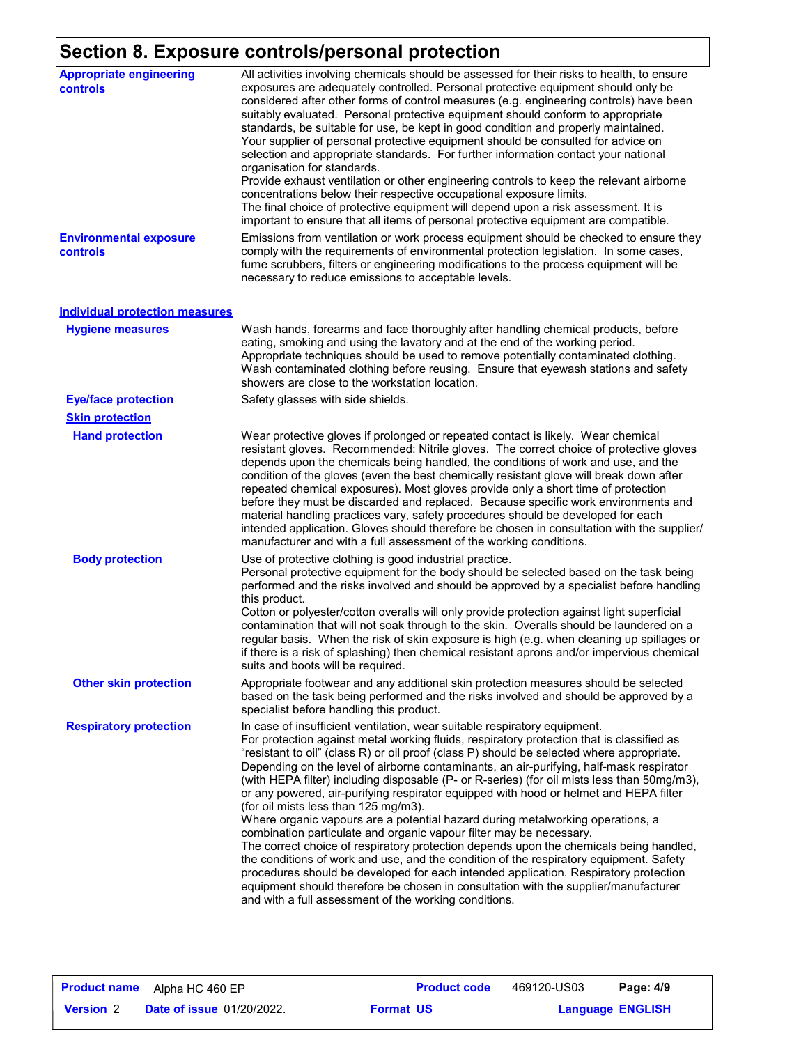# **Section 8. Exposure controls/personal protection**

| <b>Appropriate engineering</b><br>controls | All activities involving chemicals should be assessed for their risks to health, to ensure<br>exposures are adequately controlled. Personal protective equipment should only be<br>considered after other forms of control measures (e.g. engineering controls) have been<br>suitably evaluated. Personal protective equipment should conform to appropriate<br>standards, be suitable for use, be kept in good condition and properly maintained.<br>Your supplier of personal protective equipment should be consulted for advice on<br>selection and appropriate standards. For further information contact your national<br>organisation for standards.<br>Provide exhaust ventilation or other engineering controls to keep the relevant airborne<br>concentrations below their respective occupational exposure limits.<br>The final choice of protective equipment will depend upon a risk assessment. It is<br>important to ensure that all items of personal protective equipment are compatible.                                                                                                                                                                          |
|--------------------------------------------|-------------------------------------------------------------------------------------------------------------------------------------------------------------------------------------------------------------------------------------------------------------------------------------------------------------------------------------------------------------------------------------------------------------------------------------------------------------------------------------------------------------------------------------------------------------------------------------------------------------------------------------------------------------------------------------------------------------------------------------------------------------------------------------------------------------------------------------------------------------------------------------------------------------------------------------------------------------------------------------------------------------------------------------------------------------------------------------------------------------------------------------------------------------------------------------|
| <b>Environmental exposure</b><br>controls  | Emissions from ventilation or work process equipment should be checked to ensure they<br>comply with the requirements of environmental protection legislation. In some cases,<br>fume scrubbers, filters or engineering modifications to the process equipment will be<br>necessary to reduce emissions to acceptable levels.                                                                                                                                                                                                                                                                                                                                                                                                                                                                                                                                                                                                                                                                                                                                                                                                                                                       |
| <b>Individual protection measures</b>      |                                                                                                                                                                                                                                                                                                                                                                                                                                                                                                                                                                                                                                                                                                                                                                                                                                                                                                                                                                                                                                                                                                                                                                                     |
| <b>Hygiene measures</b>                    | Wash hands, forearms and face thoroughly after handling chemical products, before<br>eating, smoking and using the lavatory and at the end of the working period.<br>Appropriate techniques should be used to remove potentially contaminated clothing.<br>Wash contaminated clothing before reusing. Ensure that eyewash stations and safety<br>showers are close to the workstation location.                                                                                                                                                                                                                                                                                                                                                                                                                                                                                                                                                                                                                                                                                                                                                                                     |
| <b>Eye/face protection</b>                 | Safety glasses with side shields.                                                                                                                                                                                                                                                                                                                                                                                                                                                                                                                                                                                                                                                                                                                                                                                                                                                                                                                                                                                                                                                                                                                                                   |
| <b>Skin protection</b>                     |                                                                                                                                                                                                                                                                                                                                                                                                                                                                                                                                                                                                                                                                                                                                                                                                                                                                                                                                                                                                                                                                                                                                                                                     |
| <b>Hand protection</b>                     | Wear protective gloves if prolonged or repeated contact is likely. Wear chemical<br>resistant gloves. Recommended: Nitrile gloves. The correct choice of protective gloves<br>depends upon the chemicals being handled, the conditions of work and use, and the<br>condition of the gloves (even the best chemically resistant glove will break down after<br>repeated chemical exposures). Most gloves provide only a short time of protection<br>before they must be discarded and replaced. Because specific work environments and<br>material handling practices vary, safety procedures should be developed for each<br>intended application. Gloves should therefore be chosen in consultation with the supplier/<br>manufacturer and with a full assessment of the working conditions.                                                                                                                                                                                                                                                                                                                                                                                       |
| <b>Body protection</b>                     | Use of protective clothing is good industrial practice.<br>Personal protective equipment for the body should be selected based on the task being<br>performed and the risks involved and should be approved by a specialist before handling<br>this product.<br>Cotton or polyester/cotton overalls will only provide protection against light superficial<br>contamination that will not soak through to the skin. Overalls should be laundered on a<br>regular basis. When the risk of skin exposure is high (e.g. when cleaning up spillages or<br>if there is a risk of splashing) then chemical resistant aprons and/or impervious chemical<br>suits and boots will be required.                                                                                                                                                                                                                                                                                                                                                                                                                                                                                               |
| <b>Other skin protection</b>               | Appropriate footwear and any additional skin protection measures should be selected<br>based on the task being performed and the risks involved and should be approved by a<br>specialist before handling this product.                                                                                                                                                                                                                                                                                                                                                                                                                                                                                                                                                                                                                                                                                                                                                                                                                                                                                                                                                             |
| <b>Respiratory protection</b>              | In case of insufficient ventilation, wear suitable respiratory equipment.<br>For protection against metal working fluids, respiratory protection that is classified as<br>"resistant to oil" (class R) or oil proof (class P) should be selected where appropriate.<br>Depending on the level of airborne contaminants, an air-purifying, half-mask respirator<br>(with HEPA filter) including disposable (P- or R-series) (for oil mists less than 50mg/m3),<br>or any powered, air-purifying respirator equipped with hood or helmet and HEPA filter<br>(for oil mists less than 125 mg/m3).<br>Where organic vapours are a potential hazard during metalworking operations, a<br>combination particulate and organic vapour filter may be necessary.<br>The correct choice of respiratory protection depends upon the chemicals being handled,<br>the conditions of work and use, and the condition of the respiratory equipment. Safety<br>procedures should be developed for each intended application. Respiratory protection<br>equipment should therefore be chosen in consultation with the supplier/manufacturer<br>and with a full assessment of the working conditions. |

| <b>Product name</b> | Alpha HC 460 EP                  |                  | <b>Product code</b> | 469120-US03             | Page: 4/9 |  |
|---------------------|----------------------------------|------------------|---------------------|-------------------------|-----------|--|
| <b>Version 2</b>    | <b>Date of issue 01/20/2022.</b> | <b>Format US</b> |                     | <b>Language ENGLISH</b> |           |  |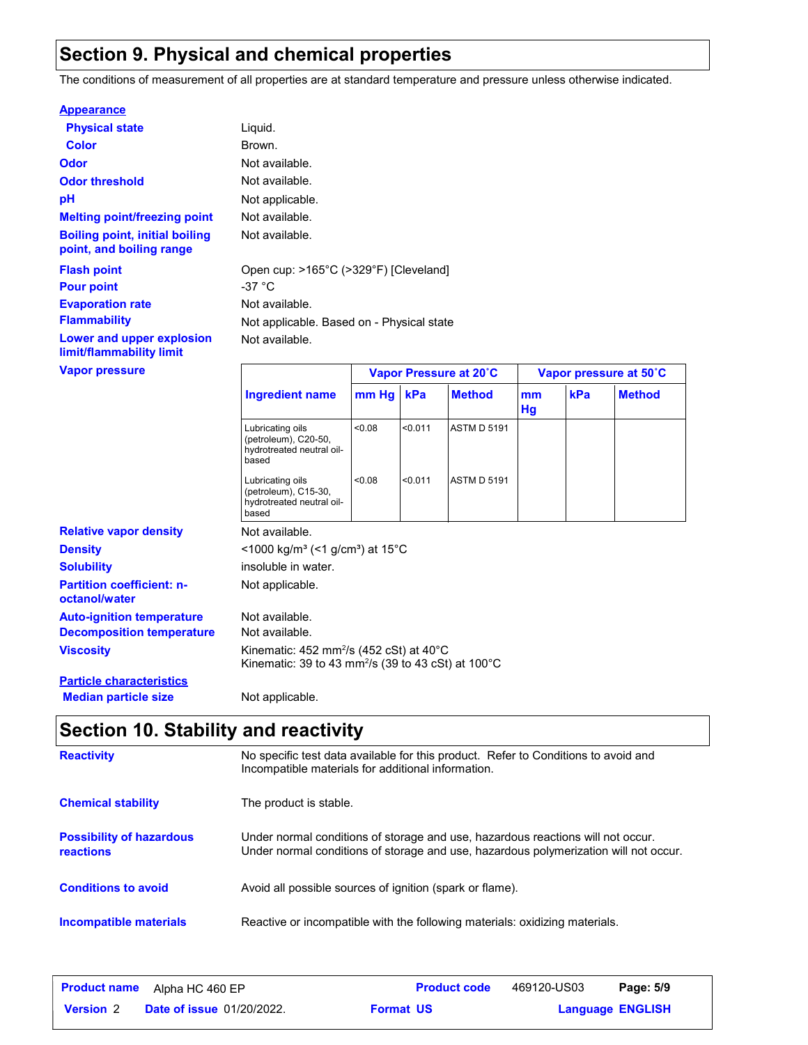### **Section 9. Physical and chemical properties**

The conditions of measurement of all properties are at standard temperature and pressure unless otherwise indicated.

#### **Appearance**

| <b>Physical state</b>                                             | Liquid.                    |
|-------------------------------------------------------------------|----------------------------|
| Color                                                             | Brown.                     |
| Odor                                                              | Not available.             |
| <b>Odor threshold</b>                                             | Not available.             |
| рH                                                                | Not applicable.            |
| <b>Melting point/freezing point</b>                               | Not available.             |
| <b>Boiling point, initial boiling</b><br>point, and boiling range | Not available.             |
| <b>Flash point</b><br><b>Pour point</b>                           | Open cup: >165°C<br>-37 °C |
| <b>Evaporation rate</b>                                           | Not available.             |
| <b>Flammability</b>                                               | Not applicable. Ba         |
| <b>Lower and upper explosion</b><br>limit/flammability limit      | Not available.             |
| <b><i>Manor processo</i></b>                                      |                            |

le. ble. Based on - Physical state **Flash point** Open cup: >165°C (>329°F) [Cleveland]

| Vapor pressure                                    |                                                                                                                                   | Vapor Pressure at 20°C |         |                    | Vapor pressure at 50°C |     |               |
|---------------------------------------------------|-----------------------------------------------------------------------------------------------------------------------------------|------------------------|---------|--------------------|------------------------|-----|---------------|
|                                                   | <b>Ingredient name</b>                                                                                                            | $mm$ Hg $ $            | kPa     | <b>Method</b>      | mm<br>Hg               | kPa | <b>Method</b> |
|                                                   | Lubricating oils<br>(petroleum), C20-50,<br>hydrotreated neutral oil-<br>based                                                    | < 0.08                 | < 0.011 | <b>ASTM D 5191</b> |                        |     |               |
|                                                   | Lubricating oils<br>(petroleum), C15-30,<br>hydrotreated neutral oil-<br>based                                                    | < 0.08                 | < 0.011 | <b>ASTM D 5191</b> |                        |     |               |
| <b>Relative vapor density</b>                     | Not available.                                                                                                                    |                        |         |                    |                        |     |               |
| <b>Density</b>                                    | $\leq$ 1000 kg/m <sup>3</sup> (<1 g/cm <sup>3</sup> ) at 15 <sup>°</sup> C                                                        |                        |         |                    |                        |     |               |
| <b>Solubility</b>                                 | insoluble in water.                                                                                                               |                        |         |                    |                        |     |               |
| <b>Partition coefficient: n-</b><br>octanol/water | Not applicable.                                                                                                                   |                        |         |                    |                        |     |               |
| <b>Auto-ignition temperature</b>                  | Not available.                                                                                                                    |                        |         |                    |                        |     |               |
| <b>Decomposition temperature</b>                  | Not available.                                                                                                                    |                        |         |                    |                        |     |               |
| Viscosity                                         | Kinematic: 452 mm <sup>2</sup> /s (452 cSt) at 40 $^{\circ}$ C<br>Kinematic: 39 to 43 mm <sup>2</sup> /s (39 to 43 cSt) at 100 °C |                        |         |                    |                        |     |               |
| <b>Particle characteristics</b>                   |                                                                                                                                   |                        |         |                    |                        |     |               |
| <b>Median particle size</b>                       | Not applicable.                                                                                                                   |                        |         |                    |                        |     |               |

## **Section 10. Stability and reactivity**

| <b>Reactivity</b>                            | No specific test data available for this product. Refer to Conditions to avoid and<br>Incompatible materials for additional information.                                |
|----------------------------------------------|-------------------------------------------------------------------------------------------------------------------------------------------------------------------------|
| <b>Chemical stability</b>                    | The product is stable.                                                                                                                                                  |
| <b>Possibility of hazardous</b><br>reactions | Under normal conditions of storage and use, hazardous reactions will not occur.<br>Under normal conditions of storage and use, hazardous polymerization will not occur. |
| <b>Conditions to avoid</b>                   | Avoid all possible sources of ignition (spark or flame).                                                                                                                |
| Incompatible materials                       | Reactive or incompatible with the following materials: oxidizing materials.                                                                                             |

| <b>Product name</b> | Alpha HC 460 EP                  |                  | <b>Product code</b> | 469120-US03             | Page: 5/9 |  |
|---------------------|----------------------------------|------------------|---------------------|-------------------------|-----------|--|
| <b>Version</b> 2    | <b>Date of issue 01/20/2022.</b> | <b>Format US</b> |                     | <b>Language ENGLISH</b> |           |  |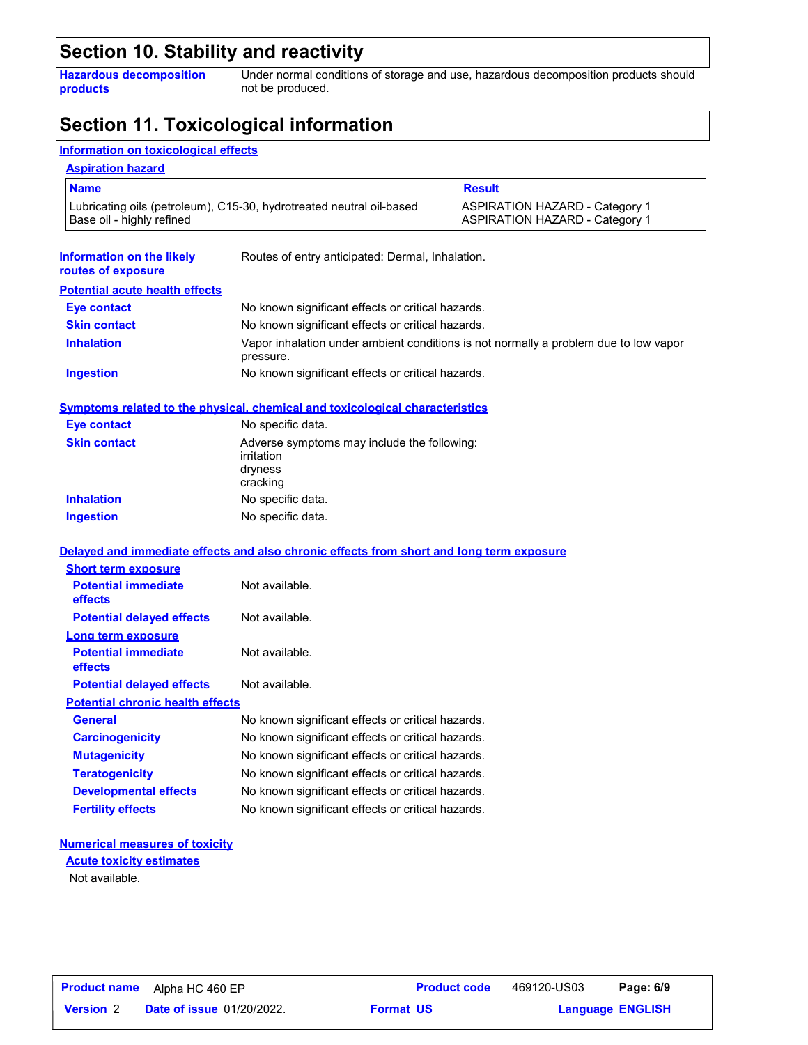### **Section 10. Stability and reactivity**

**Hazardous decomposition products**

Under normal conditions of storage and use, hazardous decomposition products should not be produced.

### **Section 11. Toxicological information**

### **Information on toxicological effects**

| <b>Name</b>                                                         |                                                                                                 | <b>Result</b>                                                                        |  |
|---------------------------------------------------------------------|-------------------------------------------------------------------------------------------------|--------------------------------------------------------------------------------------|--|
| Base oil - highly refined                                           | Lubricating oils (petroleum), C15-30, hydrotreated neutral oil-based                            | <b>ASPIRATION HAZARD - Category 1</b><br><b>ASPIRATION HAZARD - Category 1</b>       |  |
| Information on the likely<br>routes of exposure                     | Routes of entry anticipated: Dermal, Inhalation.                                                |                                                                                      |  |
| <b>Potential acute health effects</b>                               |                                                                                                 |                                                                                      |  |
| <b>Eye contact</b>                                                  | No known significant effects or critical hazards.                                               |                                                                                      |  |
| <b>Skin contact</b>                                                 | No known significant effects or critical hazards.                                               |                                                                                      |  |
| <b>Inhalation</b>                                                   | pressure.                                                                                       | Vapor inhalation under ambient conditions is not normally a problem due to low vapor |  |
| <b>Ingestion</b>                                                    | No known significant effects or critical hazards.                                               |                                                                                      |  |
|                                                                     | <u>Symptoms related to the physical, chemical and toxicological characteristics</u>             |                                                                                      |  |
| <b>Eye contact</b>                                                  | No specific data.                                                                               |                                                                                      |  |
| <b>Skin contact</b>                                                 | Adverse symptoms may include the following:<br>irritation<br>dryness<br>cracking                |                                                                                      |  |
| <b>Inhalation</b>                                                   | No specific data.                                                                               |                                                                                      |  |
| <b>Ingestion</b>                                                    | No specific data.                                                                               |                                                                                      |  |
|                                                                     |                                                                                                 |                                                                                      |  |
|                                                                     |                                                                                                 |                                                                                      |  |
|                                                                     | <u>Delayed and immediate effects and also chronic effects from short and long term exposure</u> |                                                                                      |  |
| <b>Short term exposure</b><br><b>Potential immediate</b><br>effects | Not available.                                                                                  |                                                                                      |  |
| <b>Potential delayed effects</b>                                    | Not available.                                                                                  |                                                                                      |  |
| Long term exposure                                                  |                                                                                                 |                                                                                      |  |
| <b>Potential immediate</b><br>effects                               | Not available.                                                                                  |                                                                                      |  |
| <b>Potential delayed effects</b>                                    | Not available.                                                                                  |                                                                                      |  |
| <b>Potential chronic health effects</b>                             |                                                                                                 |                                                                                      |  |
| General                                                             | No known significant effects or critical hazards.                                               |                                                                                      |  |
| <b>Carcinogenicity</b>                                              | No known significant effects or critical hazards.                                               |                                                                                      |  |
| <b>Mutagenicity</b>                                                 | No known significant effects or critical hazards.                                               |                                                                                      |  |
| <b>Teratogenicity</b>                                               | No known significant effects or critical hazards.                                               |                                                                                      |  |
| <b>Developmental effects</b>                                        | No known significant effects or critical hazards.                                               |                                                                                      |  |

### **Numerical measures of toxicity**

Not available. **Acute toxicity estimates**

**Format US**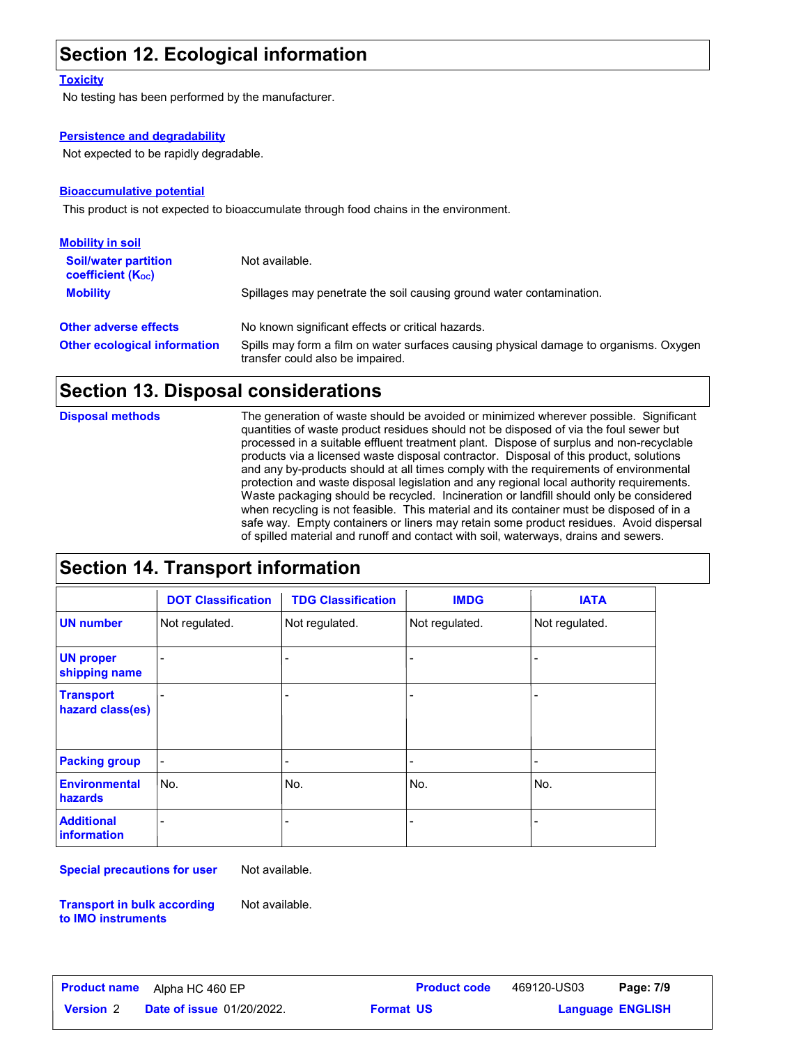### **Section 12. Ecological information**

#### **Toxicity**

No testing has been performed by the manufacturer.

#### **Persistence and degradability**

Not expected to be rapidly degradable.

#### **Bioaccumulative potential**

This product is not expected to bioaccumulate through food chains in the environment.

| <b>Mobility in soil</b>                                 |                                                                                                                           |
|---------------------------------------------------------|---------------------------------------------------------------------------------------------------------------------------|
| <b>Soil/water partition</b><br><b>coefficient (Koc)</b> | Not available.                                                                                                            |
| <b>Mobility</b>                                         | Spillages may penetrate the soil causing ground water contamination.                                                      |
| <b>Other adverse effects</b>                            | No known significant effects or critical hazards.                                                                         |
| <b>Other ecological information</b>                     | Spills may form a film on water surfaces causing physical damage to organisms. Oxygen<br>transfer could also be impaired. |

### **Section 13. Disposal considerations**

**Disposal methods**

The generation of waste should be avoided or minimized wherever possible. Significant quantities of waste product residues should not be disposed of via the foul sewer but processed in a suitable effluent treatment plant. Dispose of surplus and non-recyclable products via a licensed waste disposal contractor. Disposal of this product, solutions and any by-products should at all times comply with the requirements of environmental protection and waste disposal legislation and any regional local authority requirements. Waste packaging should be recycled. Incineration or landfill should only be considered when recycling is not feasible. This material and its container must be disposed of in a safe way. Empty containers or liners may retain some product residues. Avoid dispersal of spilled material and runoff and contact with soil, waterways, drains and sewers.

### **Section 14. Transport information**

|                                         | <b>DOT Classification</b> | <b>TDG Classification</b> | <b>IMDG</b>              | <b>IATA</b>    |
|-----------------------------------------|---------------------------|---------------------------|--------------------------|----------------|
| <b>UN number</b>                        | Not regulated.            | Not regulated.            | Not regulated.           | Not regulated. |
| <b>UN proper</b><br>shipping name       | $\overline{a}$            | ٠                         | $\overline{\phantom{a}}$ |                |
| <b>Transport</b><br>hazard class(es)    |                           | ٠                         | $\overline{a}$           |                |
| <b>Packing group</b>                    | $\overline{\phantom{0}}$  | $\overline{\phantom{a}}$  | $\overline{\phantom{a}}$ |                |
| <b>Environmental</b><br>hazards         | No.                       | No.                       | No.                      | No.            |
| <b>Additional</b><br><b>information</b> |                           | $\overline{\phantom{a}}$  | $\overline{a}$           |                |

**Special precautions for user**

Not available.

Not available.

**Transport in bulk according to IMO instruments**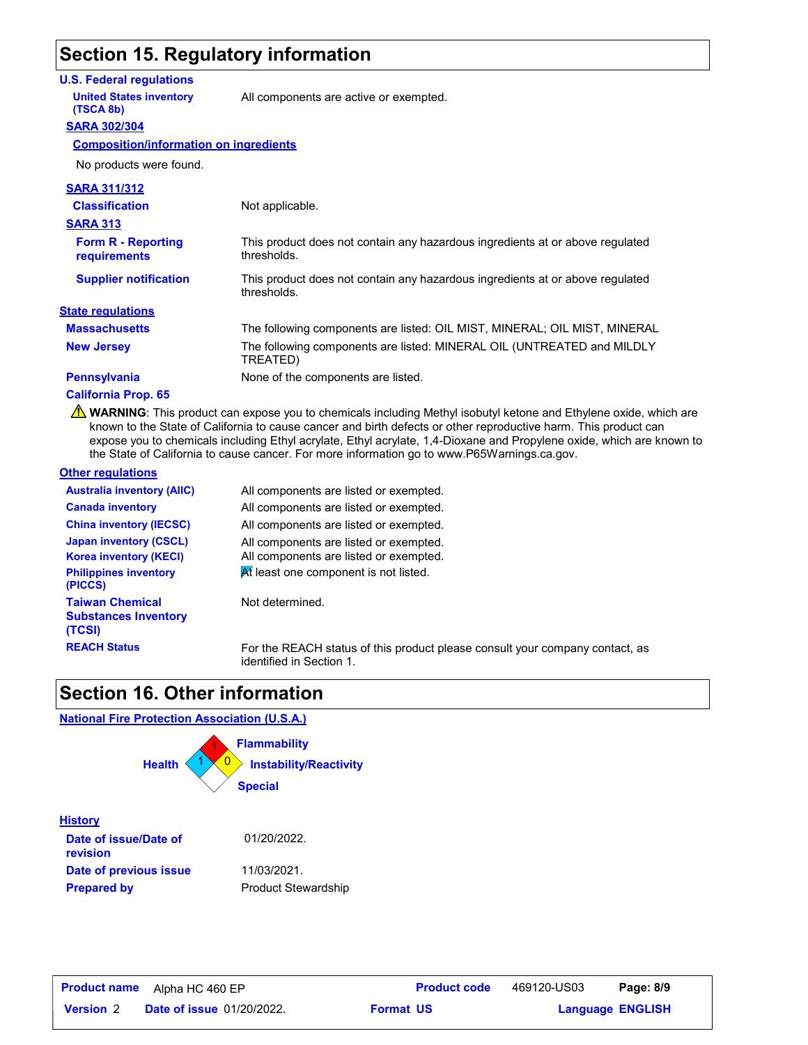### **Section 15. Regulatory information**

#### **U.S. Federal regulations**

**United States inventory** All components are active or exempted.

#### **SARA 302/304 (TSCA 8b)**

**Composition/information on ingredients**

| <b>SARA 311/312</b>                              |                                                                                              |
|--------------------------------------------------|----------------------------------------------------------------------------------------------|
| <b>Classification</b>                            | Not applicable.                                                                              |
| <b>SARA 313</b>                                  |                                                                                              |
| <b>Form R - Reporting</b><br><b>requirements</b> | This product does not contain any hazardous ingredients at or above regulated<br>thresholds. |
| <b>Supplier notification</b>                     | This product does not contain any hazardous ingredients at or above regulated<br>thresholds. |
| <b>State regulations</b>                         |                                                                                              |
| <b>Massachusetts</b>                             | The following components are listed: OIL MIST, MINERAL; OIL MIST, MINERAL                    |
| <b>New Jersey</b>                                | The following components are listed: MINERAL OIL (UNTREATED and MILDLY<br>TREATED)           |
| <b>Pennsylvania</b>                              | None of the components are listed.                                                           |
|                                                  |                                                                                              |

#### **California Prop. 65**

WARNING: This product can expose you to chemicals including Methyl isobutyl ketone and Ethylene oxide, which are known to the State of California to cause cancer and birth defects or other reproductive harm. This product can expose you to chemicals including Ethyl acrylate, Ethyl acrylate, 1,4-Dioxane and Propylene oxide, which are known to the State of California to cause cancer. For more information go to www.P65Warnings.ca.gov.

#### **Other regulations**

| <b>Australia inventory (AIIC)</b>                               | All components are listed or exempted.                                                                   |
|-----------------------------------------------------------------|----------------------------------------------------------------------------------------------------------|
| <b>Canada inventory</b>                                         | All components are listed or exempted.                                                                   |
| <b>China inventory (IECSC)</b>                                  | All components are listed or exempted.                                                                   |
| <b>Japan inventory (CSCL)</b>                                   | All components are listed or exempted.                                                                   |
| <b>Korea inventory (KECI)</b>                                   | All components are listed or exempted.                                                                   |
| <b>Philippines inventory</b><br>(PICCS)                         | At least one component is not listed.                                                                    |
| <b>Taiwan Chemical</b><br><b>Substances Inventory</b><br>(TCSI) | Not determined.                                                                                          |
| <b>REACH Status</b>                                             | For the REACH status of this product please consult your company contact, as<br>identified in Section 1. |

### **Section 16. Other information**

#### **National Fire Protection Association (U.S.A.)**



| <b>Product name</b> | Alpha HC 460 EP                  |                  | <b>Product code</b> | 469120-US03             | Page: 8/9 |  |
|---------------------|----------------------------------|------------------|---------------------|-------------------------|-----------|--|
| <b>Version 2</b>    | <b>Date of issue 01/20/2022.</b> | <b>Format US</b> |                     | <b>Language ENGLISH</b> |           |  |